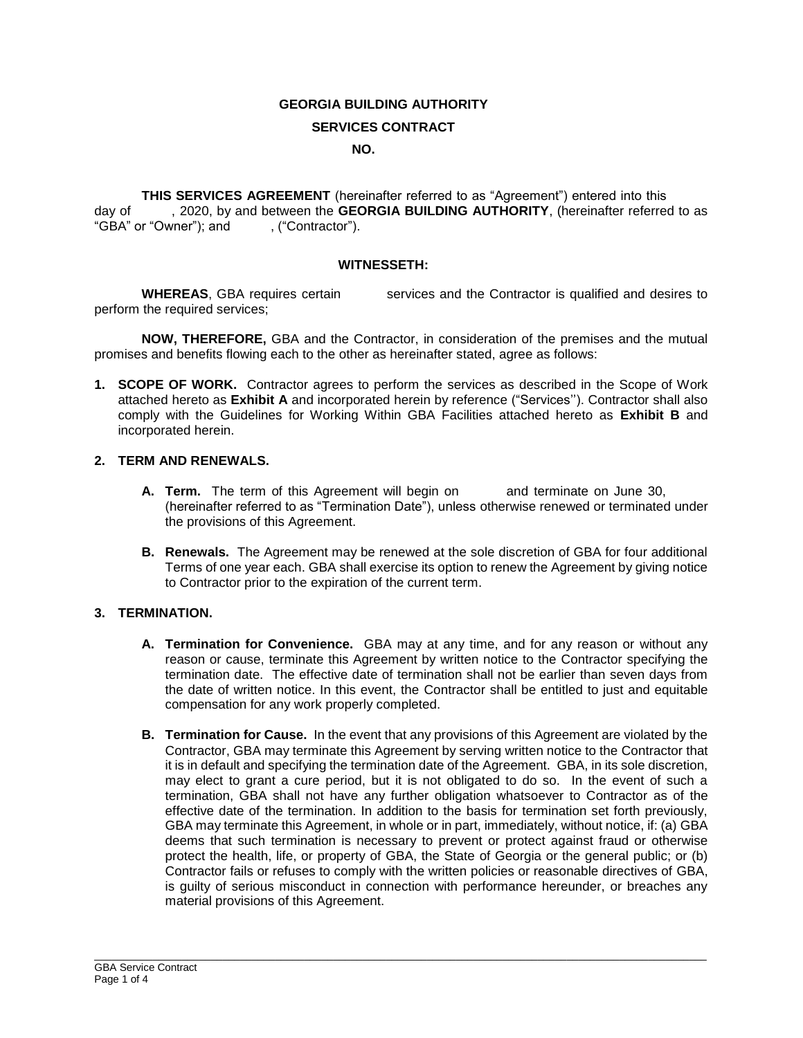## **GEORGIA BUILDING AUTHORITY**

#### **SERVICES CONTRACT**

#### **NO.**

**THIS SERVICES AGREEMENT** (hereinafter referred to as "Agreement") entered into this day of , 2020, by and between the **GEORGIA BUILDING AUTHORITY**, (hereinafter referred to as "GBA" or "Owner"); and , ("Contractor").

#### **WITNESSETH:**

**WHEREAS**, GBA requires certain services and the Contractor is qualified and desires to perform the required services;

**NOW, THEREFORE,** GBA and the Contractor, in consideration of the premises and the mutual promises and benefits flowing each to the other as hereinafter stated, agree as follows:

**1. SCOPE OF WORK.** Contractor agrees to perform the services as described in the Scope of Work attached hereto as **Exhibit A** and incorporated herein by reference ("Services''). Contractor shall also comply with the Guidelines for Working Within GBA Facilities attached hereto as **Exhibit B** and incorporated herein.

### **2. TERM AND RENEWALS.**

- **A. Term.** The term of this Agreement will begin on and terminate on June 30, (hereinafter referred to as "Termination Date"), unless otherwise renewed or terminated under the provisions of this Agreement.
- **B. Renewals.** The Agreement may be renewed at the sole discretion of GBA for four additional Terms of one year each. GBA shall exercise its option to renew the Agreement by giving notice to Contractor prior to the expiration of the current term.

#### **3. TERMINATION.**

- **A. Termination for Convenience.** GBA may at any time, and for any reason or without any reason or cause, terminate this Agreement by written notice to the Contractor specifying the termination date. The effective date of termination shall not be earlier than seven days from the date of written notice. In this event, the Contractor shall be entitled to just and equitable compensation for any work properly completed.
- **B. Termination for Cause.** In the event that any provisions of this Agreement are violated by the Contractor, GBA may terminate this Agreement by serving written notice to the Contractor that it is in default and specifying the termination date of the Agreement. GBA, in its sole discretion, may elect to grant a cure period, but it is not obligated to do so. In the event of such a termination, GBA shall not have any further obligation whatsoever to Contractor as of the effective date of the termination. In addition to the basis for termination set forth previously, GBA may terminate this Agreement, in whole or in part, immediately, without notice, if: (a) GBA deems that such termination is necessary to prevent or protect against fraud or otherwise protect the health, life, or property of GBA, the State of Georgia or the general public; or (b) Contractor fails or refuses to comply with the written policies or reasonable directives of GBA, is guilty of serious misconduct in connection with performance hereunder, or breaches any material provisions of this Agreement.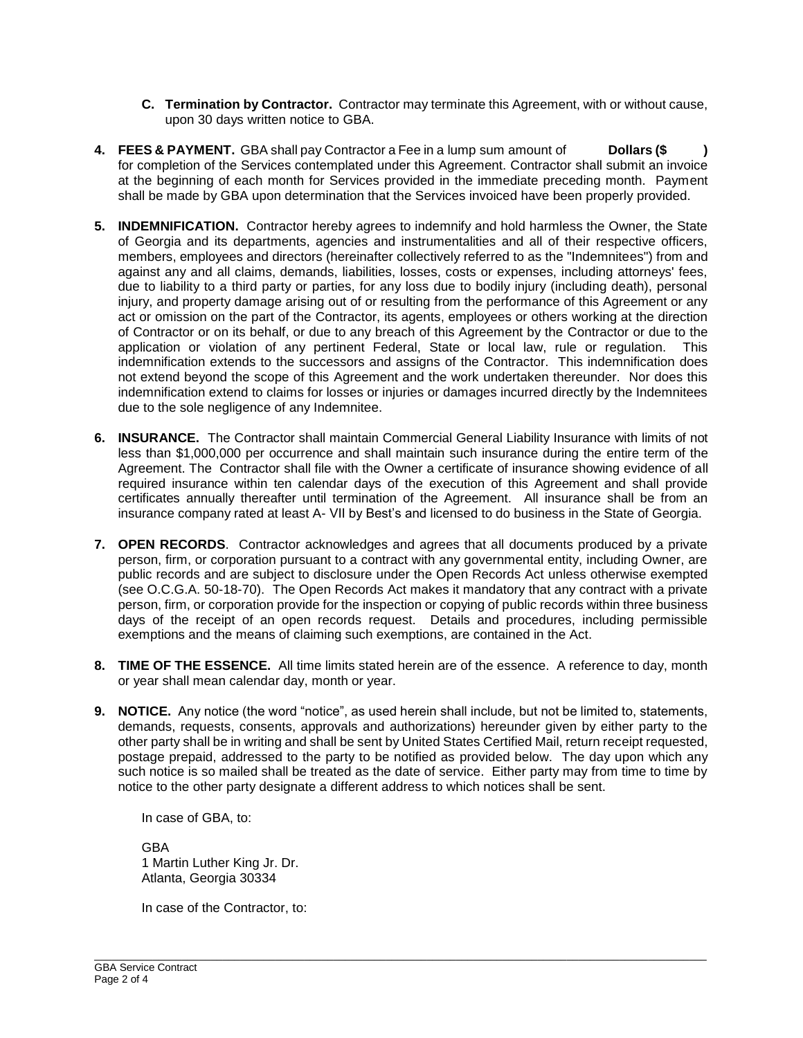- **C. Termination by Contractor.** Contractor may terminate this Agreement, with or without cause, upon 30 days written notice to GBA.
- **4. FEES & PAYMENT.** GBA shall pay Contractor a Fee in a lump sum amount of **Dollars (\$ )**  for completion of the Services contemplated under this Agreement. Contractor shall submit an invoice at the beginning of each month for Services provided in the immediate preceding month. Payment shall be made by GBA upon determination that the Services invoiced have been properly provided.
- **5. INDEMNIFICATION.** Contractor hereby agrees to indemnify and hold harmless the Owner, the State of Georgia and its departments, agencies and instrumentalities and all of their respective officers, members, employees and directors (hereinafter collectively referred to as the "Indemnitees") from and against any and all claims, demands, liabilities, losses, costs or expenses, including attorneys' fees, due to liability to a third party or parties, for any loss due to bodily injury (including death), personal injury, and property damage arising out of or resulting from the performance of this Agreement or any act or omission on the part of the Contractor, its agents, employees or others working at the direction of Contractor or on its behalf, or due to any breach of this Agreement by the Contractor or due to the application or violation of any pertinent Federal, State or local law, rule or regulation. This indemnification extends to the successors and assigns of the Contractor. This indemnification does not extend beyond the scope of this Agreement and the work undertaken thereunder. Nor does this indemnification extend to claims for losses or injuries or damages incurred directly by the Indemnitees due to the sole negligence of any Indemnitee.
- **6. INSURANCE.** The Contractor shall maintain Commercial General Liability Insurance with limits of not less than \$1,000,000 per occurrence and shall maintain such insurance during the entire term of the Agreement. The Contractor shall file with the Owner a certificate of insurance showing evidence of all required insurance within ten calendar days of the execution of this Agreement and shall provide certificates annually thereafter until termination of the Agreement. All insurance shall be from an insurance company rated at least A- VII by Best's and licensed to do business in the State of Georgia.
- **7. OPEN RECORDS**. Contractor acknowledges and agrees that all documents produced by a private person, firm, or corporation pursuant to a contract with any governmental entity, including Owner, are public records and are subject to disclosure under the Open Records Act unless otherwise exempted (see O.C.G.A. 50-18-70). The Open Records Act makes it mandatory that any contract with a private person, firm, or corporation provide for the inspection or copying of public records within three business days of the receipt of an open records request. Details and procedures, including permissible exemptions and the means of claiming such exemptions, are contained in the Act.
- **8. TIME OF THE ESSENCE.** All time limits stated herein are of the essence. A reference to day, month or year shall mean calendar day, month or year.
- **9. NOTICE.** Any notice (the word "notice", as used herein shall include, but not be limited to, statements, demands, requests, consents, approvals and authorizations) hereunder given by either party to the other party shall be in writing and shall be sent by United States Certified Mail, return receipt requested, postage prepaid, addressed to the party to be notified as provided below. The day upon which any such notice is so mailed shall be treated as the date of service. Either party may from time to time by notice to the other party designate a different address to which notices shall be sent.

\_\_\_\_\_\_\_\_\_\_\_\_\_\_\_\_\_\_\_\_\_\_\_\_\_\_\_\_\_\_\_\_\_\_\_\_\_\_\_\_\_\_\_\_\_\_\_\_\_\_\_\_\_\_\_\_\_\_\_\_\_\_\_\_\_\_\_\_\_\_\_\_\_\_\_\_\_\_\_\_\_\_\_\_\_\_\_\_\_\_\_\_\_\_\_\_\_\_\_\_\_\_\_\_\_

In case of GBA, to:

GBA 1 Martin Luther King Jr. Dr. Atlanta, Georgia 30334

In case of the Contractor, to: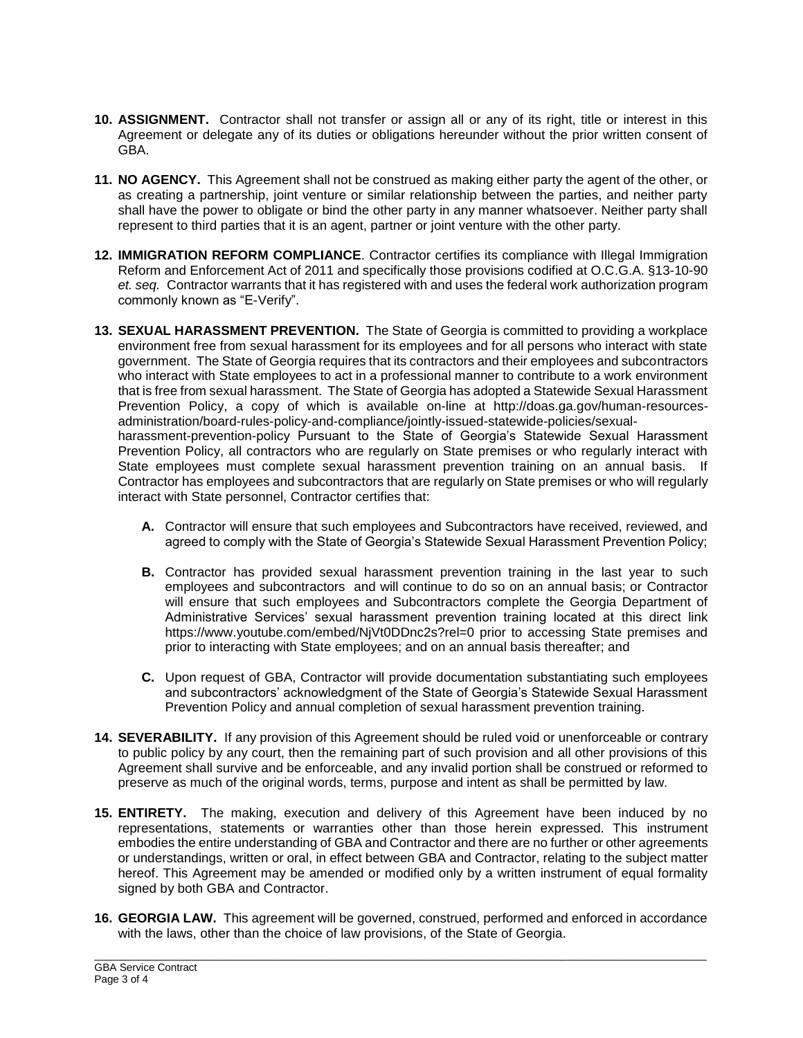- **10. ASSIGNMENT.** Contractor shall not transfer or assign all or any of its right, title or interest in this Agreement or delegate any of its duties or obligations hereunder without the prior written consent of GBA.
- **11. NO AGENCY.** This Agreement shall not be construed as making either party the agent of the other, or as creating a partnership, joint venture or similar relationship between the parties, and neither party shall have the power to obligate or bind the other party in any manner whatsoever. Neither party shall represent to third parties that it is an agent, partner or joint venture with the other party.
- **12. IMMIGRATION REFORM COMPLIANCE**. Contractor certifies its compliance with Illegal Immigration Reform and Enforcement Act of 2011 and specifically those provisions codified at O.C.G.A. §13-10-90 *et. seq.* Contractor warrants that it has registered with and uses the federal work authorization program commonly known as "E-Verify".
- **13. SEXUAL HARASSMENT PREVENTION.** The State of Georgia is committed to providing a workplace environment free from sexual harassment for its employees and for all persons who interact with state government. The State of Georgia requires that its contractors and their employees and subcontractors who interact with State employees to act in a professional manner to contribute to a work environment that is free from sexual harassment. The State of Georgia has adopted a Statewide Sexual Harassment Prevention Policy, a copy of which is available on-line at http://doas.ga.gov/human-resourcesadministration/board-rules-policy-and-compliance/jointly-issued-statewide-policies/sexualharassment-prevention-policy Pursuant to the State of Georgia's Statewide Sexual Harassment Prevention Policy, all contractors who are regularly on State premises or who regularly interact with State employees must complete sexual harassment prevention training on an annual basis. If Contractor has employees and subcontractors that are regularly on State premises or who will regularly interact with State personnel, Contractor certifies that:
	- **A.** Contractor will ensure that such employees and Subcontractors have received, reviewed, and agreed to comply with the State of Georgia's Statewide Sexual Harassment Prevention Policy;
	- **B.** Contractor has provided sexual harassment prevention training in the last year to such employees and subcontractors and will continue to do so on an annual basis; or Contractor will ensure that such employees and Subcontractors complete the Georgia Department of Administrative Services' sexual harassment prevention training located at this direct link https://www.youtube.com/embed/NjVt0DDnc2s?rel=0 prior to accessing State premises and prior to interacting with State employees; and on an annual basis thereafter; and
	- **C.** Upon request of GBA, Contractor will provide documentation substantiating such employees and subcontractors' acknowledgment of the State of Georgia's Statewide Sexual Harassment Prevention Policy and annual completion of sexual harassment prevention training.
- **14. SEVERABILITY.** If any provision of this Agreement should be ruled void or unenforceable or contrary to public policy by any court, then the remaining part of such provision and all other provisions of this Agreement shall survive and be enforceable, and any invalid portion shall be construed or reformed to preserve as much of the original words, terms, purpose and intent as shall be permitted by law.
- **15. ENTIRETY.** The making, execution and delivery of this Agreement have been induced by no representations, statements or warranties other than those herein expressed. This instrument embodies the entire understanding of GBA and Contractor and there are no further or other agreements or understandings, written or oral, in effect between GBA and Contractor, relating to the subject matter hereof. This Agreement may be amended or modified only by a written instrument of equal formality signed by both GBA and Contractor.
- **16. GEORGIA LAW.** This agreement will be governed, construed, performed and enforced in accordance with the laws, other than the choice of law provisions, of the State of Georgia.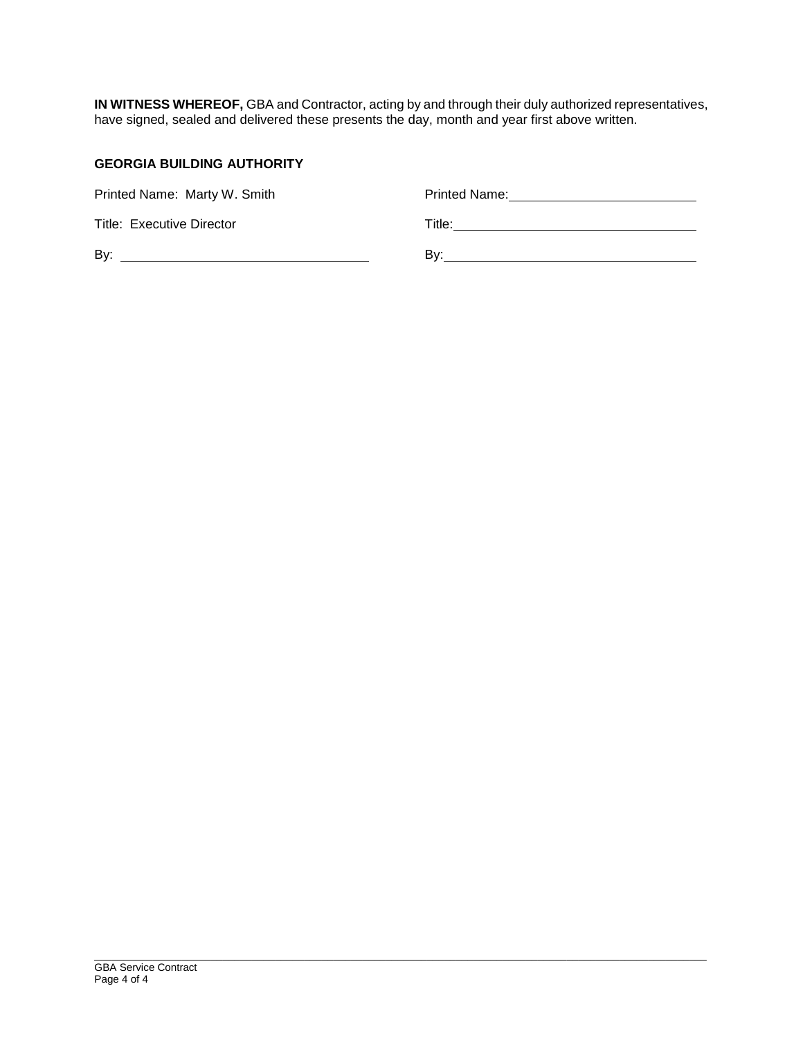**IN WITNESS WHEREOF,** GBA and Contractor, acting by and through their duly authorized representatives, have signed, sealed and delivered these presents the day, month and year first above written.

# **GEORGIA BUILDING AUTHORITY**

| Printed Name: Marty W. Smith | Printed Name: |
|------------------------------|---------------|
| Title: Executive Director    | Title:        |
| By:                          | Bv:           |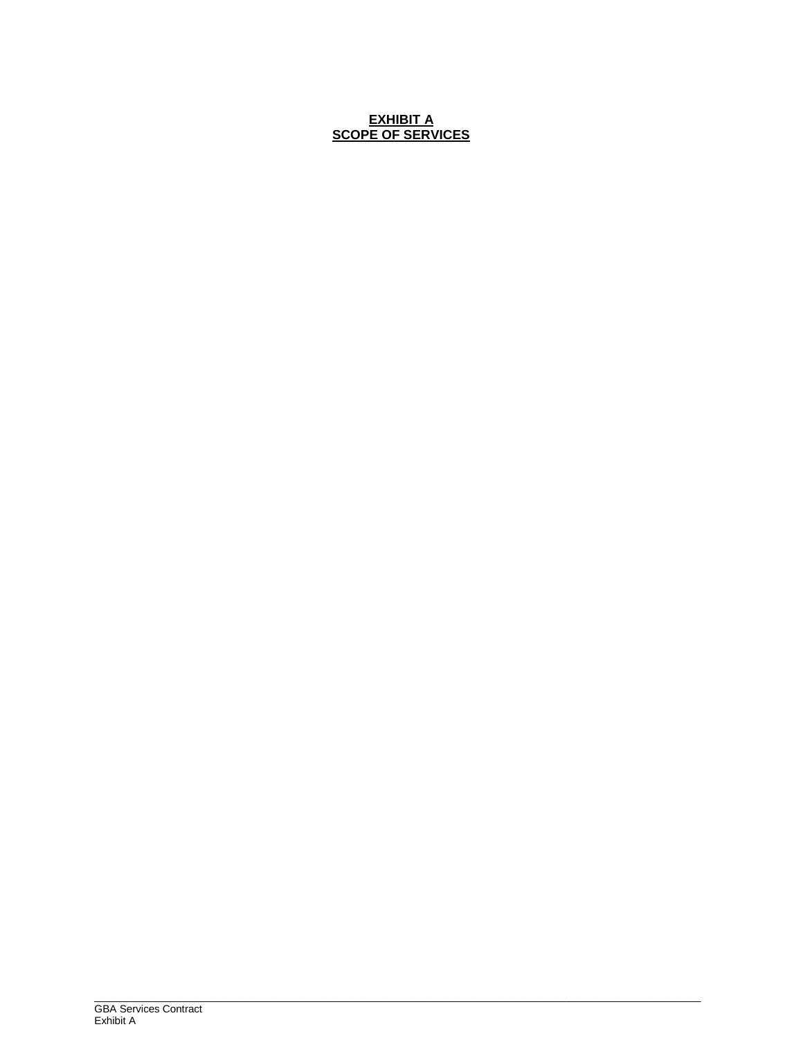# **EXHIBIT A SCOPE OF SERVICES**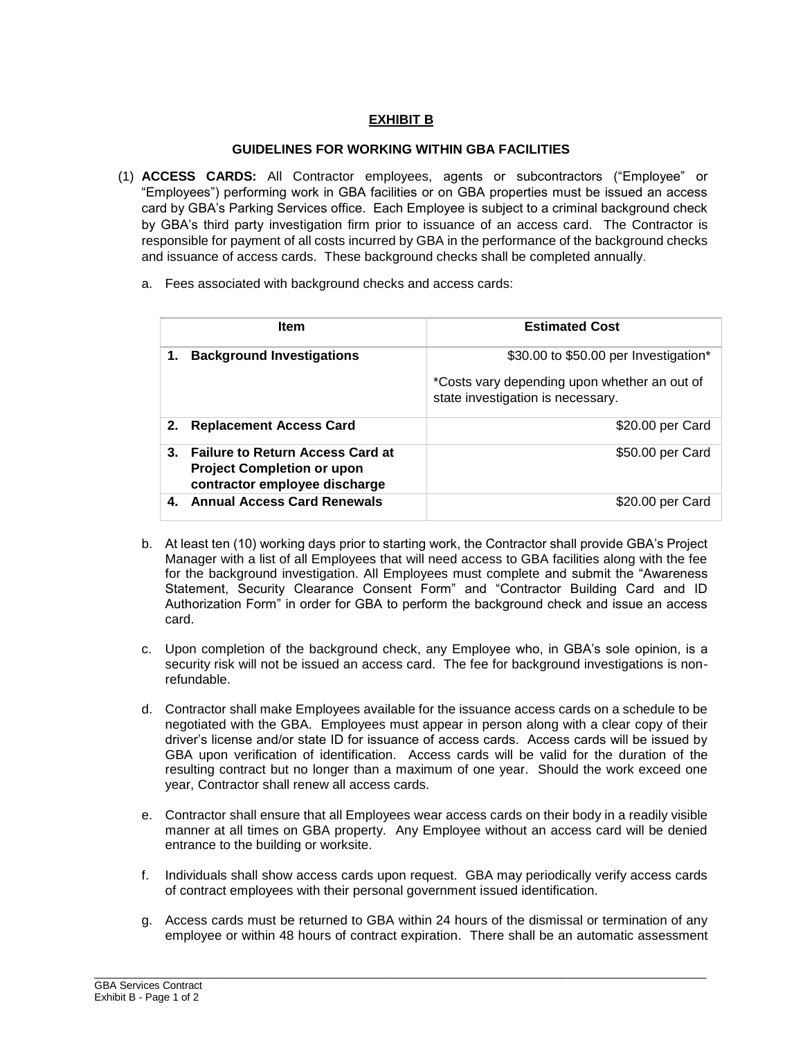# **EXHIBIT B**

## **GUIDELINES FOR WORKING WITHIN GBA FACILITIES**

- (1) **ACCESS CARDS:** All Contractor employees, agents or subcontractors ("Employee" or "Employees") performing work in GBA facilities or on GBA properties must be issued an access card by GBA's Parking Services office. Each Employee is subject to a criminal background check by GBA's third party investigation firm prior to issuance of an access card. The Contractor is responsible for payment of all costs incurred by GBA in the performance of the background checks and issuance of access cards. These background checks shall be completed annually.
	- a. Fees associated with background checks and access cards:

| <b>Item</b>                                                                                                              | <b>Estimated Cost</b>                                                             |
|--------------------------------------------------------------------------------------------------------------------------|-----------------------------------------------------------------------------------|
| <b>Background Investigations</b><br>1.                                                                                   | \$30.00 to \$50.00 per Investigation*                                             |
|                                                                                                                          | *Costs vary depending upon whether an out of<br>state investigation is necessary. |
| 2.<br><b>Replacement Access Card</b>                                                                                     | \$20.00 per Card                                                                  |
| $3_{-}$<br><b>Failure to Return Access Card at</b><br><b>Project Completion or upon</b><br>contractor employee discharge | \$50.00 per Card                                                                  |
| <b>Annual Access Card Renewals</b><br>4.                                                                                 | \$20.00 per Card                                                                  |

- b. At least ten (10) working days prior to starting work, the Contractor shall provide GBA's Project Manager with a list of all Employees that will need access to GBA facilities along with the fee for the background investigation. All Employees must complete and submit the "Awareness Statement, Security Clearance Consent Form" and "Contractor Building Card and ID Authorization Form" in order for GBA to perform the background check and issue an access card.
- c. Upon completion of the background check, any Employee who, in GBA's sole opinion, is a security risk will not be issued an access card. The fee for background investigations is nonrefundable.
- d. Contractor shall make Employees available for the issuance access cards on a schedule to be negotiated with the GBA. Employees must appear in person along with a clear copy of their driver's license and/or state ID for issuance of access cards. Access cards will be issued by GBA upon verification of identification. Access cards will be valid for the duration of the resulting contract but no longer than a maximum of one year. Should the work exceed one year, Contractor shall renew all access cards.
- e. Contractor shall ensure that all Employees wear access cards on their body in a readily visible manner at all times on GBA property. Any Employee without an access card will be denied entrance to the building or worksite.
- f. Individuals shall show access cards upon request. GBA may periodically verify access cards of contract employees with their personal government issued identification.
- g. Access cards must be returned to GBA within 24 hours of the dismissal or termination of any employee or within 48 hours of contract expiration. There shall be an automatic assessment